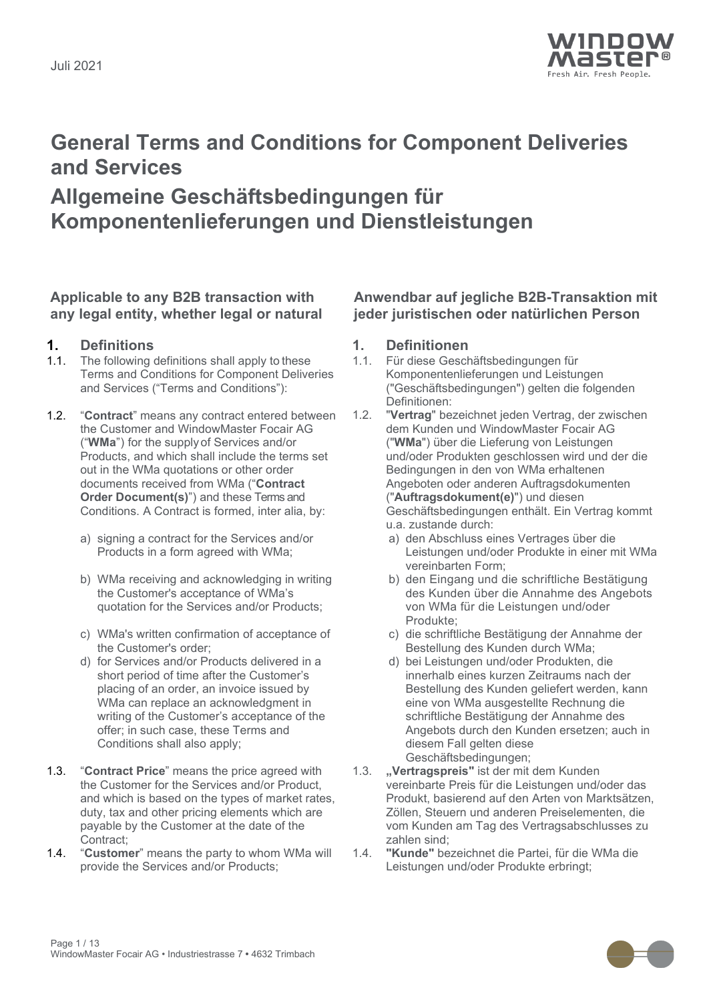

# **General Terms and Conditions for Component Deliveries and Services**

## **Allgemeine Geschäftsbedingungen für Komponentenlieferungen und Dienstleistungen**

### **Applicable to any B2B transaction with any legal entity, whether legal or natural**

- **1. Definitions 1. Definitionen** The following definitions shall apply to these Terms and Conditions for Component Deliveries and Services ("Terms and Conditions"):
- 1.2. "**Contract**" means any contract entered between the Customer and WindowMaster Focair AG ("**WMa**") for the supply of Services and/or Products, and which shall include the terms set out in the WMa quotations or other order documents received from WMa ("**Contract Order Document(s)**") and these Terms and Conditions. A Contract is formed, inter alia, by:
	- a) signing a contract for the Services and/or Products in a form agreed with WMa;
	- b) WMa receiving and acknowledging in writing the Customer's acceptance of WMa's quotation for the Services and/or Products;
	- c) WMa's written confirmation of acceptance of the Customer's order;
	- d) for Services and/or Products delivered in a short period of time after the Customer's placing of an order, an invoice issued by WMa can replace an acknowledgment in writing of the Customer's acceptance of the offer; in such case, these Terms and Conditions shall also apply;
- 1.3. "**Contract Price**" means the price agreed with the Customer for the Services and/or Product, and which is based on the types of market rates, duty, tax and other pricing elements which are payable by the Customer at the date of the Contract;
- 1.4. "**Customer**" means the party to whom WMa will provide the Services and/or Products;

### **Anwendbar auf jegliche B2B-Transaktion mit jeder juristischen oder natürlichen Person**

- 
- 1.1. Für diese Geschäftsbedingungen für Komponentenlieferungen und Leistungen ("Geschäftsbedingungen") gelten die folgenden Definitionen:
- 1.2. "**Vertrag**" bezeichnet jeden Vertrag, der zwischen dem Kunden und WindowMaster Focair AG ("**WMa**") über die Lieferung von Leistungen und/oder Produkten geschlossen wird und der die Bedingungen in den von WMa erhaltenen Angeboten oder anderen Auftragsdokumenten ("**Auftragsdokument(e)**") und diesen Geschäftsbedingungen enthält. Ein Vertrag kommt u.a. zustande durch:
	- a) den Abschluss eines Vertrages über die Leistungen und/oder Produkte in einer mit WMa vereinbarten Form;
	- b) den Eingang und die schriftliche Bestätigung des Kunden über die Annahme des Angebots von WMa für die Leistungen und/oder Produkte;
	- c) die schriftliche Bestätigung der Annahme der Bestellung des Kunden durch WMa;
	- d) bei Leistungen und/oder Produkten, die innerhalb eines kurzen Zeitraums nach der Bestellung des Kunden geliefert werden, kann eine von WMa ausgestellte Rechnung die schriftliche Bestätigung der Annahme des Angebots durch den Kunden ersetzen; auch in diesem Fall gelten diese Geschäftsbedingungen;
- 1.3. **"Vertragspreis"** ist der mit dem Kunden vereinbarte Preis für die Leistungen und/oder das Produkt, basierend auf den Arten von Marktsätzen, Zöllen, Steuern und anderen Preiselementen, die vom Kunden am Tag des Vertragsabschlusses zu zahlen sind;
- 1.4. **"Kunde"** bezeichnet die Partei, für die WMa die Leistungen und/oder Produkte erbringt;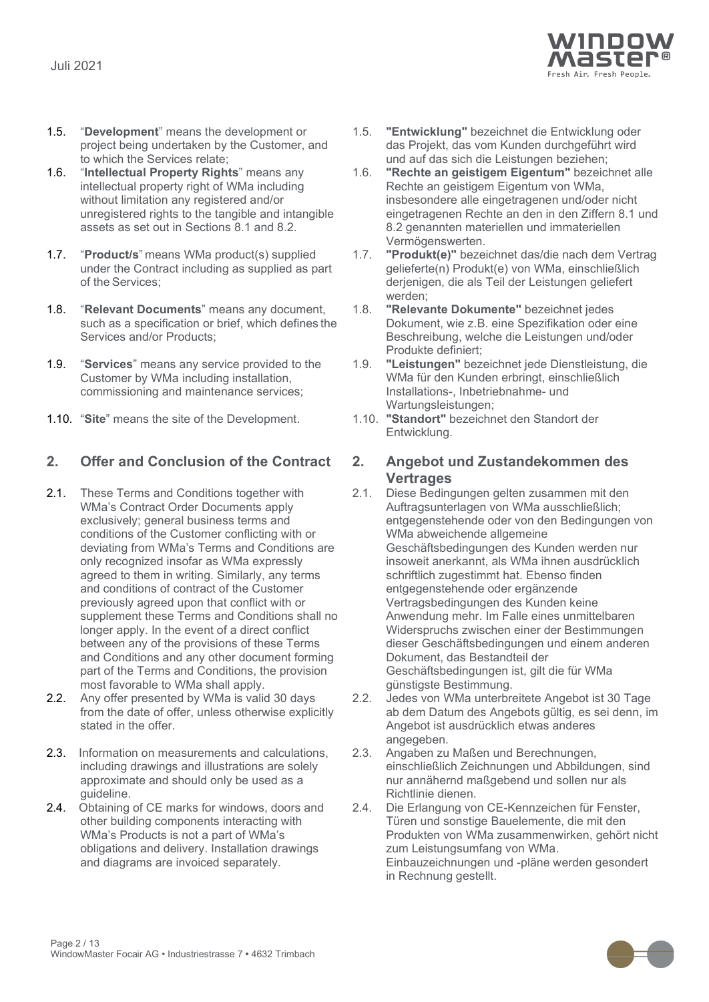

- 1.5. "**Development**" means the development or project being undertaken by the Customer, and to which the Services relate;
- 1.6. "**Intellectual Property Rights**" means any intellectual property right of WMa including without limitation any registered and/or unregistered rights to the tangible and intangible assets as set out in Sections [8.1](#page-6-0) and [8.2.](#page-6-1)
- 1.7. "**Product/s**" means WMa product(s) supplied under the Contract including as supplied as part of the Services;
- 1.8. "**Relevant Documents**" means any document, such as a specification or brief, which defines the Services and/or Products;
- 1.9. "**Services**" means any service provided to the Customer by WMa including installation, commissioning and maintenance services;
- 1.10. "**Site**" means the site of the Development. 1.10. **"Standort"** bezeichnet den Standort der

### **2. Offer and Conclusion of the Contract 2. Angebot und Zustandekommen des**

- 2.1. These Terms and Conditions together with WMa's Contract Order Documents apply exclusively; general business terms and conditions of the Customer conflicting with or deviating from WMa's Terms and Conditions are only recognized insofar as WMa expressly agreed to them in writing. Similarly, any terms and conditions of contract of the Customer previously agreed upon that conflict with or supplement these Terms and Conditions shall no longer apply. In the event of a direct conflict between any of the provisions of these Terms and Conditions and any other document forming part of the Terms and Conditions, the provision most favorable to WMa shall apply.
- 2.2. Any offer presented by WMa is valid 30 days from the date of offer, unless otherwise explicitly stated in the offer.
- 2.3. Information on measurements and calculations, including drawings and illustrations are solely approximate and should only be used as a guideline.
- 2.4. Obtaining of CE marks for windows, doors and other building components interacting with WMa's Products is not a part of WMa's obligations and delivery. Installation drawings and diagrams are invoiced separately.
- 1.5. **"Entwicklung"** bezeichnet die Entwicklung oder das Projekt, das vom Kunden durchgeführt wird und auf das sich die Leistungen beziehen;
- 1.6. **"Rechte an geistigem Eigentum"** bezeichnet alle Rechte an geistigem Eigentum von WMa, insbesondere alle eingetragenen und/oder nicht eingetragenen Rechte an den in den Ziffern 8.1 und 8.2 genannten materiellen und immateriellen Vermögenswerten.
- 1.7. **"Produkt(e)"** bezeichnet das/die nach dem Vertrag gelieferte(n) Produkt(e) von WMa, einschließlich derjenigen, die als Teil der Leistungen geliefert werden;
- 1.8. **"Relevante Dokumente"** bezeichnet jedes Dokument, wie z.B. eine Spezifikation oder eine Beschreibung, welche die Leistungen und/oder Produkte definiert;
- 1.9. **"Leistungen"** bezeichnet jede Dienstleistung, die WMa für den Kunden erbringt, einschließlich Installations-, Inbetriebnahme- und Wartungsleistungen;
- Entwicklung.

# **Vertrages**

- 2.1. Diese Bedingungen gelten zusammen mit den Auftragsunterlagen von WMa ausschließlich; entgegenstehende oder von den Bedingungen von WMa abweichende allgemeine Geschäftsbedingungen des Kunden werden nur insoweit anerkannt, als WMa ihnen ausdrücklich schriftlich zugestimmt hat. Ebenso finden entgegenstehende oder ergänzende Vertragsbedingungen des Kunden keine Anwendung mehr. Im Falle eines unmittelbaren Widerspruchs zwischen einer der Bestimmungen dieser Geschäftsbedingungen und einem anderen Dokument, das Bestandteil der Geschäftsbedingungen ist, gilt die für WMa günstigste Bestimmung.
- 2.2. Jedes von WMa unterbreitete Angebot ist 30 Tage ab dem Datum des Angebots gültig, es sei denn, im Angebot ist ausdrücklich etwas anderes angegeben.
- 2.3. Angaben zu Maßen und Berechnungen, einschließlich Zeichnungen und Abbildungen, sind nur annähernd maßgebend und sollen nur als Richtlinie dienen.
- 2.4. Die Erlangung von CE-Kennzeichen für Fenster, Türen und sonstige Bauelemente, die mit den Produkten von WMa zusammenwirken, gehört nicht zum Leistungsumfang von WMa. Einbauzeichnungen und -pläne werden gesondert in Rechnung gestellt.

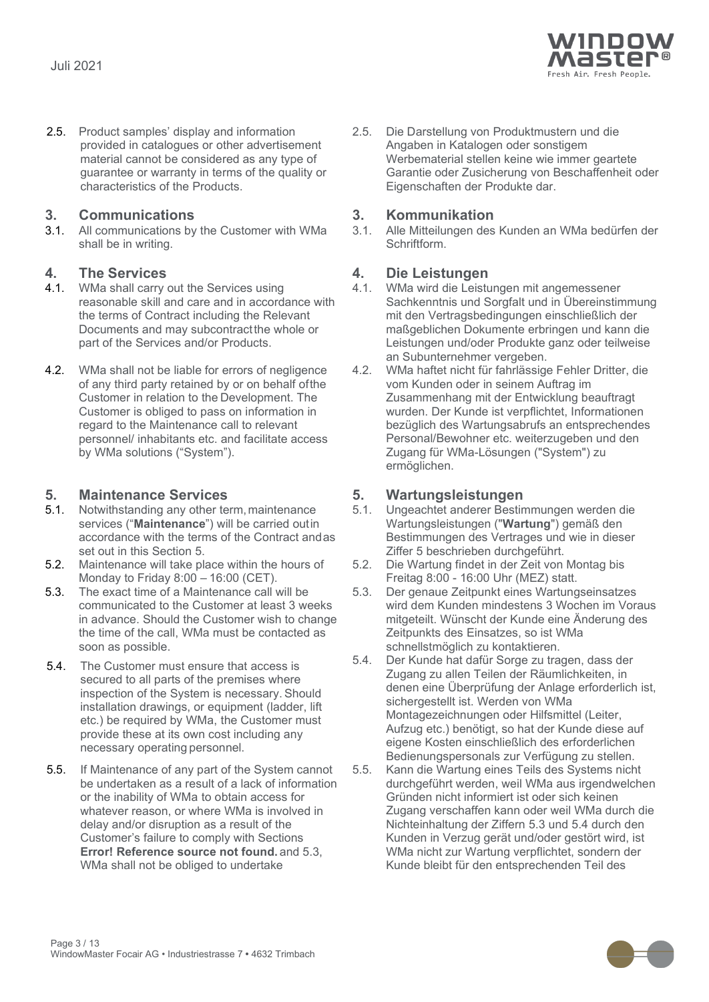

2.5. Product samples' display and information provided in catalogues or other advertisement material cannot be considered as any type of guarantee or warranty in terms of the quality or characteristics of the Products.

**3. Communications 3. Kommunikation** All communications by the Customer with WMa shall be in writing.

- **4. The Services 4. Die Leistungen** WMa shall carry out the Services using reasonable skill and care and in accordance with the terms of Contract including the Relevant Documents and may subcontractthe whole or part of the Services and/or Products.
- 4.2. WMa shall not be liable for errors of negligence of any third party retained by or on behalf ofthe Customer in relation to the Development. The Customer is obliged to pass on information in regard to the Maintenance call to relevant personnel/ inhabitants etc. and facilitate access by WMa solutions ("System").

- <span id="page-2-0"></span>**5. Maintenance Services 5. Wartungsleistungen** Notwithstanding any other term, maintenance services ("**Maintenance**") will be carried outin accordance with the terms of the Contract andas set out in this Section [5.](#page-2-0)
- 5.2. Maintenance will take place within the hours of Monday to Friday 8:00 – 16:00 (CET).
- 5.3. The exact time of a Maintenance call will be communicated to the Customer at least 3 weeks in advance. Should the Customer wish to change the time of the call, WMa must be contacted as soon as possible.
- <span id="page-2-1"></span>5.4. The Customer must ensure that access is secured to all parts of the premises where inspection of the System is necessary. Should installation drawings, or equipment (ladder, lift etc.) be required by WMa, the Customer must provide these at its own cost including any necessary operating personnel.
- 5.5. If Maintenance of any part of the System cannot be undertaken as a result of a lack of information or the inability of WMa to obtain access for whatever reason, or where WMa is involved in delay and/or disruption as a result of the Customer's failure to comply with Sections **Error! Reference source not found.** and [5.3,](#page-2-1) WMa shall not be obliged to undertake

2.5. Die Darstellung von Produktmustern und die Angaben in Katalogen oder sonstigem Werbematerial stellen keine wie immer geartete Garantie oder Zusicherung von Beschaffenheit oder Eigenschaften der Produkte dar.

3.1. Alle Mitteilungen des Kunden an WMa bedürfen der Schriftform.

- 4.1. WMa wird die Leistungen mit angemessener Sachkenntnis und Sorgfalt und in Übereinstimmung mit den Vertragsbedingungen einschließlich der maßgeblichen Dokumente erbringen und kann die Leistungen und/oder Produkte ganz oder teilweise an Subunternehmer vergeben.
- 4.2. WMa haftet nicht für fahrlässige Fehler Dritter, die vom Kunden oder in seinem Auftrag im Zusammenhang mit der Entwicklung beauftragt wurden. Der Kunde ist verpflichtet, Informationen bezüglich des Wartungsabrufs an entsprechendes Personal/Bewohner etc. weiterzugeben und den Zugang für WMa-Lösungen ("System") zu ermöglichen.

- 5.1. Ungeachtet anderer Bestimmungen werden die Wartungsleistungen ("**Wartung**") gemäß den Bestimmungen des Vertrages und wie in dieser Ziffer 5 beschrieben durchgeführt.
- 5.2. Die Wartung findet in der Zeit von Montag bis Freitag 8:00 - 16:00 Uhr (MEZ) statt.
- 5.3. Der genaue Zeitpunkt eines Wartungseinsatzes wird dem Kunden mindestens 3 Wochen im Voraus mitgeteilt. Wünscht der Kunde eine Änderung des Zeitpunkts des Einsatzes, so ist WMa schnellstmöglich zu kontaktieren.
- 5.4. Der Kunde hat dafür Sorge zu tragen, dass der Zugang zu allen Teilen der Räumlichkeiten, in denen eine Überprüfung der Anlage erforderlich ist, sichergestellt ist. Werden von WMa Montagezeichnungen oder Hilfsmittel (Leiter, Aufzug etc.) benötigt, so hat der Kunde diese auf eigene Kosten einschließlich des erforderlichen Bedienungspersonals zur Verfügung zu stellen.
- 5.5. Kann die Wartung eines Teils des Systems nicht durchgeführt werden, weil WMa aus irgendwelchen Gründen nicht informiert ist oder sich keinen Zugang verschaffen kann oder weil WMa durch die Nichteinhaltung der Ziffern 5.3 und 5.4 durch den Kunden in Verzug gerät und/oder gestört wird, ist WMa nicht zur Wartung verpflichtet, sondern der Kunde bleibt für den entsprechenden Teil des

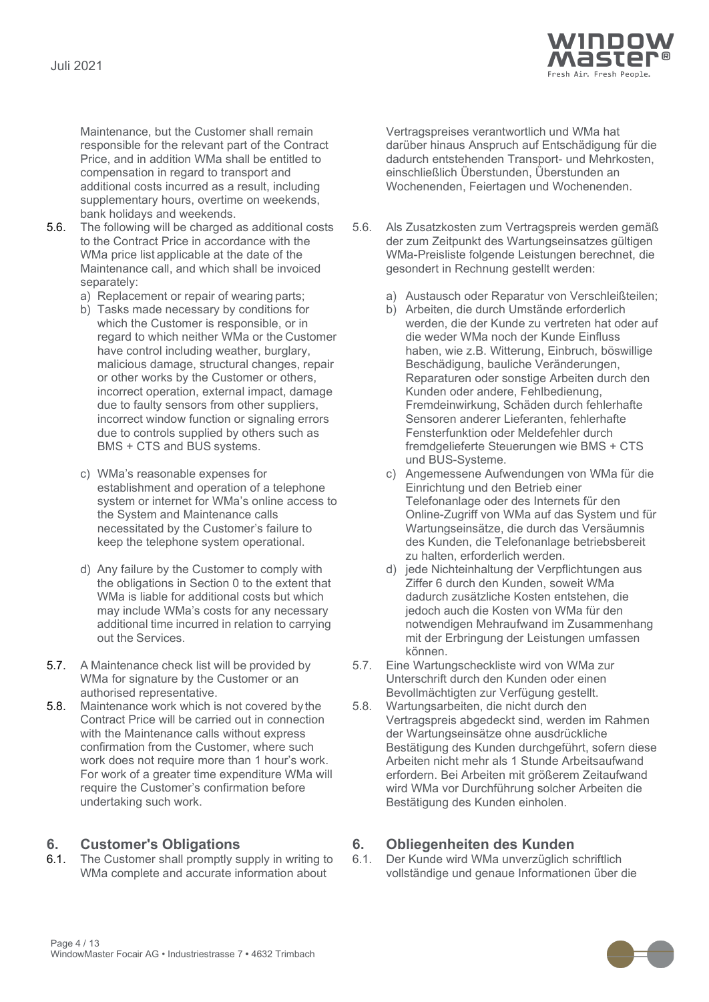

Maintenance, but the Customer shall remain responsible for the relevant part of the Contract Price, and in addition WMa shall be entitled to compensation in regard to transport and additional costs incurred as a result, including supplementary hours, overtime on weekends, bank holidays and weekends.

- 5.6. The following will be charged as additional costs to the Contract Price in accordance with the WMa price list applicable at the date of the Maintenance call, and which shall be invoiced separately:
	-
	- b) Tasks made necessary by conditions for which the Customer is responsible, or in regard to which neither WMa or the Customer have control including weather, burglary, malicious damage, structural changes, repair or other works by the Customer or others, incorrect operation, external impact, damage due to faulty sensors from other suppliers, incorrect window function or signaling errors due to controls supplied by others such as BMS + CTS and BUS systems.
	- c) WMa's reasonable expenses for establishment and operation of a telephone system or internet for WMa's online access to the System and Maintenance calls necessitated by the Customer's failure to keep the telephone system operational.
	- d) Any failure by the Customer to comply with the obligations in Section [0](#page-3-0) to the extent that WMa is liable for additional costs but which may include WMa's costs for any necessary additional time incurred in relation to carrying out the Services.
- 5.7. A Maintenance check list will be provided by WMa for signature by the Customer or an authorised representative.
- 5.8. Maintenance work which is not covered by the Contract Price will be carried out in connection with the Maintenance calls without express confirmation from the Customer, where such work does not require more than 1 hour's work. For work of a greater time expenditure WMa will require the Customer's confirmation before undertaking such work.

<span id="page-3-0"></span>**6. Customer's Obligations 6. Obliegenheiten des Kunden** The Customer shall promptly supply in writing to WMa complete and accurate information about

Vertragspreises verantwortlich und WMa hat darüber hinaus Anspruch auf Entschädigung für die dadurch entstehenden Transport- und Mehrkosten, einschließlich Überstunden, Überstunden an Wochenenden, Feiertagen und Wochenenden.

- 5.6. Als Zusatzkosten zum Vertragspreis werden gemäß der zum Zeitpunkt des Wartungseinsatzes gültigen WMa-Preisliste folgende Leistungen berechnet, die gesondert in Rechnung gestellt werden:
- a) Replacement or repair of wearing parts; and a) Austausch oder Reparatur von Verschleißteilen;
	- b) Arbeiten, die durch Umstände erforderlich werden, die der Kunde zu vertreten hat oder auf die weder WMa noch der Kunde Einfluss haben, wie z.B. Witterung, Einbruch, böswillige Beschädigung, bauliche Veränderungen, Reparaturen oder sonstige Arbeiten durch den Kunden oder andere, Fehlbedienung, Fremdeinwirkung, Schäden durch fehlerhafte Sensoren anderer Lieferanten, fehlerhafte Fensterfunktion oder Meldefehler durch fremdgelieferte Steuerungen wie BMS + CTS und BUS-Systeme.
	- c) Angemessene Aufwendungen von WMa für die Einrichtung und den Betrieb einer Telefonanlage oder des Internets für den Online-Zugriff von WMa auf das System und für Wartungseinsätze, die durch das Versäumnis des Kunden, die Telefonanlage betriebsbereit zu halten, erforderlich werden.
	- d) jede Nichteinhaltung der Verpflichtungen aus Ziffer 6 durch den Kunden, soweit WMa dadurch zusätzliche Kosten entstehen, die jedoch auch die Kosten von WMa für den notwendigen Mehraufwand im Zusammenhang mit der Erbringung der Leistungen umfassen können.
	- 5.7. Eine Wartungscheckliste wird von WMa zur Unterschrift durch den Kunden oder einen Bevollmächtigten zur Verfügung gestellt.
	- 5.8. Wartungsarbeiten, die nicht durch den Vertragspreis abgedeckt sind, werden im Rahmen der Wartungseinsätze ohne ausdrückliche Bestätigung des Kunden durchgeführt, sofern diese Arbeiten nicht mehr als 1 Stunde Arbeitsaufwand erfordern. Bei Arbeiten mit größerem Zeitaufwand wird WMa vor Durchführung solcher Arbeiten die Bestätigung des Kunden einholen.

6.1. Der Kunde wird WMa unverzüglich schriftlich vollständige und genaue Informationen über die

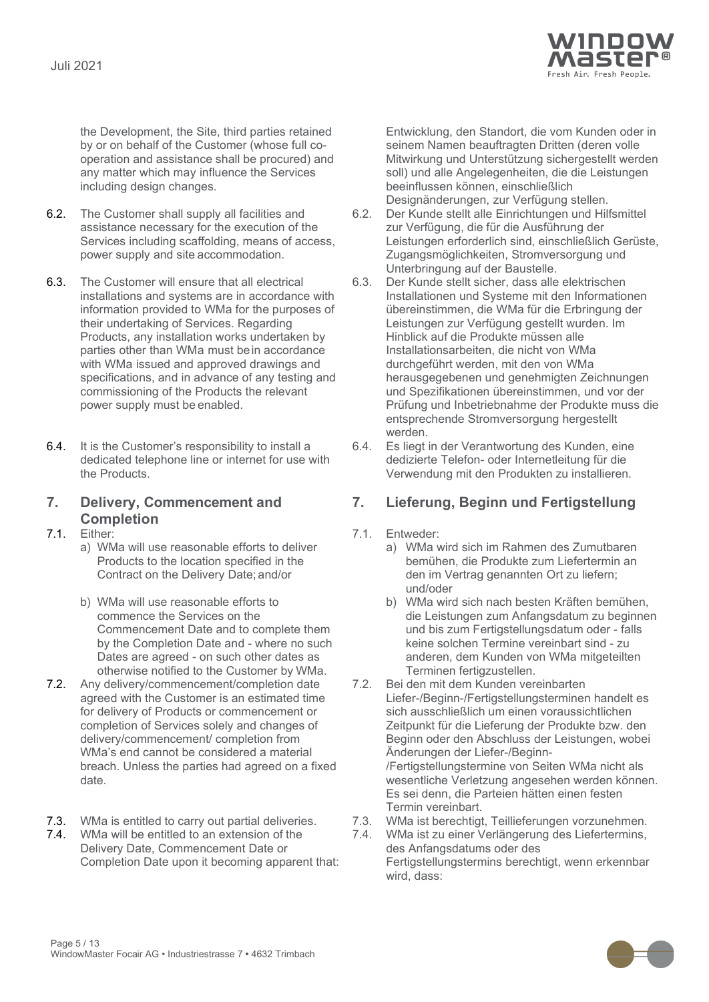

the Development, the Site, third parties retained by or on behalf of the Customer (whose full cooperation and assistance shall be procured) and any matter which may influence the Services including design changes.

- 6.2. The Customer shall supply all facilities and assistance necessary for the execution of the Services including scaffolding, means of access, power supply and site accommodation.
- 6.3. The Customer will ensure that all electrical installations and systems are in accordance with information provided to WMa for the purposes of their undertaking of Services. Regarding Products, any installation works undertaken by parties other than WMa must bein accordance with WMa issued and approved drawings and specifications, and in advance of any testing and commissioning of the Products the relevant power supply must be enabled.
- 6.4. It is the Customer's responsibility to install a dedicated telephone line or internet for use with the Products.

## **7. Delivery, Commencement and Completion**

- a) WMa will use reasonable efforts to deliver Products to the location specified in the Contract on the Delivery Date; and/or
- b) WMa will use reasonable efforts to commence the Services on the Commencement Date and to complete them by the Completion Date and - where no such Dates are agreed - on such other dates as otherwise notified to the Customer by WMa.
- 7.2. Any delivery/commencement/completion date agreed with the Customer is an estimated time for delivery of Products or commencement or completion of Services solely and changes of delivery/commencement/ completion from WMa's end cannot be considered a material breach. Unless the parties had agreed on a fixed date.
- <span id="page-4-0"></span>
- 7.4. WMa will be entitled to an extension of the Delivery Date, Commencement Date or Completion Date upon it becoming apparent that:

Entwicklung, den Standort, die vom Kunden oder in seinem Namen beauftragten Dritten (deren volle Mitwirkung und Unterstützung sichergestellt werden soll) und alle Angelegenheiten, die die Leistungen beeinflussen können, einschließlich Designänderungen, zur Verfügung stellen.

- 6.2. Der Kunde stellt alle Einrichtungen und Hilfsmittel zur Verfügung, die für die Ausführung der Leistungen erforderlich sind, einschließlich Gerüste, Zugangsmöglichkeiten, Stromversorgung und Unterbringung auf der Baustelle.
- 6.3. Der Kunde stellt sicher, dass alle elektrischen Installationen und Systeme mit den Informationen übereinstimmen, die WMa für die Erbringung der Leistungen zur Verfügung gestellt wurden. Im Hinblick auf die Produkte müssen alle Installationsarbeiten, die nicht von WMa durchgeführt werden, mit den von WMa herausgegebenen und genehmigten Zeichnungen und Spezifikationen übereinstimmen, und vor der Prüfung und Inbetriebnahme der Produkte muss die entsprechende Stromversorgung hergestellt werden.
- 6.4. Es liegt in der Verantwortung des Kunden, eine dedizierte Telefon- oder Internetleitung für die Verwendung mit den Produkten zu installieren.

### **7. Lieferung, Beginn und Fertigstellung**

- 7.1. Either: 7.1. Entweder:
	- a) WMa wird sich im Rahmen des Zumutbaren bemühen, die Produkte zum Liefertermin an den im Vertrag genannten Ort zu liefern; und/oder
	- b) WMa wird sich nach besten Kräften bemühen, die Leistungen zum Anfangsdatum zu beginnen und bis zum Fertigstellungsdatum oder - falls keine solchen Termine vereinbart sind - zu anderen, dem Kunden von WMa mitgeteilten Terminen fertigzustellen.
	- 7.2. Bei den mit dem Kunden vereinbarten Liefer-/Beginn-/Fertigstellungsterminen handelt es sich ausschließlich um einen voraussichtlichen Zeitpunkt für die Lieferung der Produkte bzw. den Beginn oder den Abschluss der Leistungen, wobei Änderungen der Liefer-/Beginn- /Fertigstellungstermine von Seiten WMa nicht als wesentliche Verletzung angesehen werden können. Es sei denn, die Parteien hätten einen festen Termin vereinbart.
- 7.3. WMa is entitled to carry out partial deliveries. 7.3. WMa ist berechtigt, Teillieferungen vorzunehmen.
	- 7.4. WMa ist zu einer Verlängerung des Liefertermins, des Anfangsdatums oder des Fertigstellungstermins berechtigt, wenn erkennbar wird, dass:

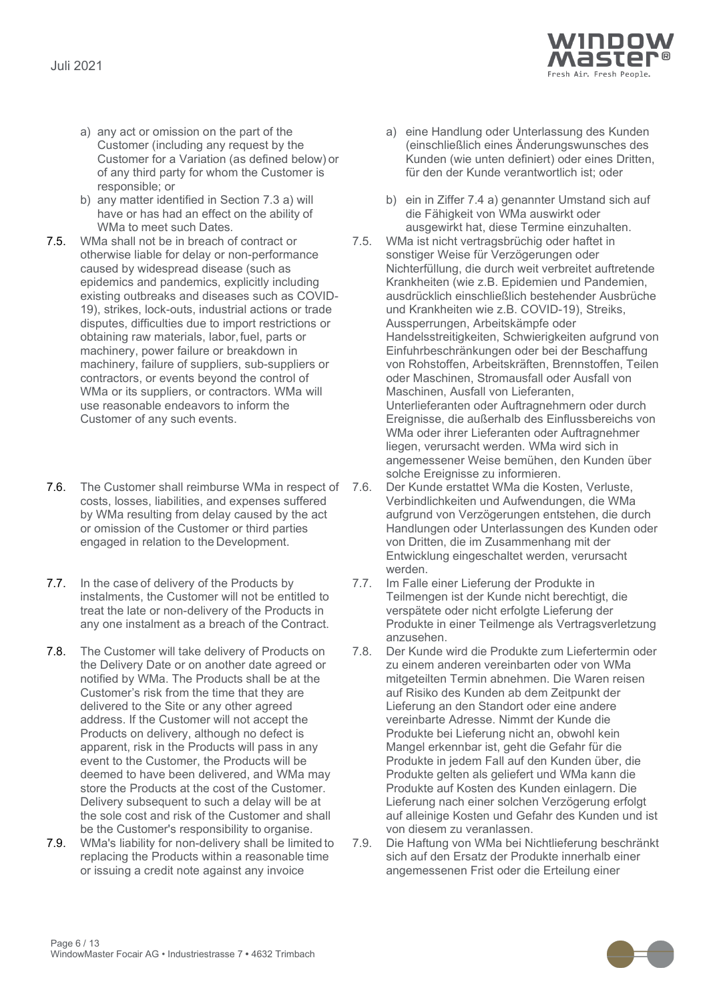

- <span id="page-5-0"></span>a) any act or omission on the part of the Customer (including any request by the Customer for a Variation (as defined below) or of any third party for whom the Customer is responsible; or
- b) any matter identified in Section [7.3](#page-4-0) [a\)](#page-5-0) will have or has had an effect on the ability of WMa to meet such Dates*.*
- 7.5. WMa shall not be in breach of contract or otherwise liable for delay or non-performance caused by widespread disease (such as epidemics and pandemics, explicitly including existing outbreaks and diseases such as COVID-19), strikes, lock-outs, industrial actions or trade disputes, difficulties due to import restrictions or obtaining raw materials, labor,fuel, parts or machinery, power failure or breakdown in machinery, failure of suppliers, sub-suppliers or contractors, or events beyond the control of WMa or its suppliers, or contractors. WMa will use reasonable endeavors to inform the Customer of any such events.
- 7.6. The Customer shall reimburse WMa in respect of 7.6. costs, losses, liabilities, and expenses suffered by WMa resulting from delay caused by the act or omission of the Customer or third parties engaged in relation to the Development.
- 7.7. In the case of delivery of the Products by instalments, the Customer will not be entitled to treat the late or non-delivery of the Products in any one instalment as a breach of the Contract.
- 7.8. The Customer will take delivery of Products on the Delivery Date or on another date agreed or notified by WMa. The Products shall be at the Customer's risk from the time that they are delivered to the Site or any other agreed address. If the Customer will not accept the Products on delivery, although no defect is apparent, risk in the Products will pass in any event to the Customer, the Products will be deemed to have been delivered, and WMa may store the Products at the cost of the Customer. Delivery subsequent to such a delay will be at the sole cost and risk of the Customer and shall be the Customer's responsibility to organise.
- 7.9. WMa's liability for non-delivery shall be limited to replacing the Products within a reasonable time or issuing a credit note against any invoice
- a) eine Handlung oder Unterlassung des Kunden (einschließlich eines Änderungswunsches des Kunden (wie unten definiert) oder eines Dritten, für den der Kunde verantwortlich ist; oder
- b) ein in Ziffer 7.4 a) genannter Umstand sich auf die Fähigkeit von WMa auswirkt oder ausgewirkt hat, diese Termine einzuhalten.
- 7.5. WMa ist nicht vertragsbrüchig oder haftet in sonstiger Weise für Verzögerungen oder Nichterfüllung, die durch weit verbreitet auftretende Krankheiten (wie z.B. Epidemien und Pandemien, ausdrücklich einschließlich bestehender Ausbrüche und Krankheiten wie z.B. COVID-19), Streiks, Aussperrungen, Arbeitskämpfe oder Handelsstreitigkeiten, Schwierigkeiten aufgrund von Einfuhrbeschränkungen oder bei der Beschaffung von Rohstoffen, Arbeitskräften, Brennstoffen, Teilen oder Maschinen, Stromausfall oder Ausfall von Maschinen, Ausfall von Lieferanten, Unterlieferanten oder Auftragnehmern oder durch Ereignisse, die außerhalb des Einflussbereichs von WMa oder ihrer Lieferanten oder Auftragnehmer liegen, verursacht werden. WMa wird sich in angemessener Weise bemühen, den Kunden über solche Ereignisse zu informieren.
- Der Kunde erstattet WMa die Kosten, Verluste, Verbindlichkeiten und Aufwendungen, die WMa aufgrund von Verzögerungen entstehen, die durch Handlungen oder Unterlassungen des Kunden oder von Dritten, die im Zusammenhang mit der Entwicklung eingeschaltet werden, verursacht werden.
- 7.7. Im Falle einer Lieferung der Produkte in Teilmengen ist der Kunde nicht berechtigt, die verspätete oder nicht erfolgte Lieferung der Produkte in einer Teilmenge als Vertragsverletzung anzusehen.
- 7.8. Der Kunde wird die Produkte zum Liefertermin oder zu einem anderen vereinbarten oder von WMa mitgeteilten Termin abnehmen. Die Waren reisen auf Risiko des Kunden ab dem Zeitpunkt der Lieferung an den Standort oder eine andere vereinbarte Adresse. Nimmt der Kunde die Produkte bei Lieferung nicht an, obwohl kein Mangel erkennbar ist, geht die Gefahr für die Produkte in jedem Fall auf den Kunden über, die Produkte gelten als geliefert und WMa kann die Produkte auf Kosten des Kunden einlagern. Die Lieferung nach einer solchen Verzögerung erfolgt auf alleinige Kosten und Gefahr des Kunden und ist von diesem zu veranlassen.
- 7.9. Die Haftung von WMa bei Nichtlieferung beschränkt sich auf den Ersatz der Produkte innerhalb einer angemessenen Frist oder die Erteilung einer

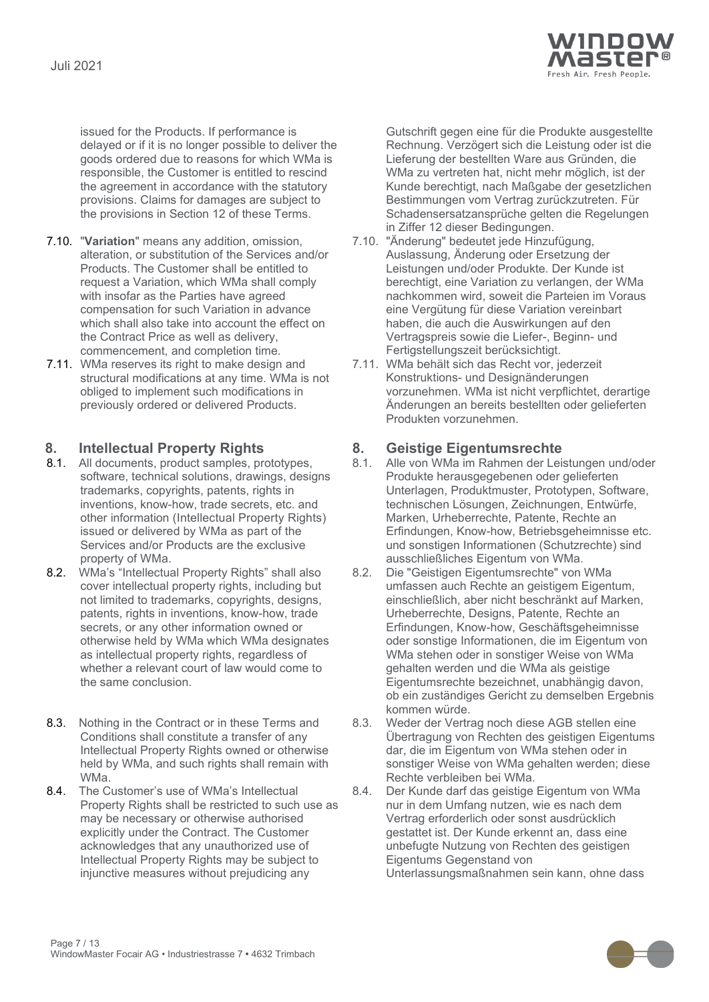

issued for the Products. If performance is delayed or if it is no longer possible to deliver the goods ordered due to reasons for which WMa is responsible, the Customer is entitled to rescind the agreement in accordance with the statutory provisions. Claims for damages are subject to the provisions in Section 12 of these Terms.

- 7.10. "**Variation**" means any addition, omission, alteration, or substitution of the Services and/or Products. The Customer shall be entitled to request a Variation, which WMa shall comply with insofar as the Parties have agreed compensation for such Variation in advance which shall also take into account the effect on the Contract Price as well as delivery, commencement, and completion time.
- 7.11. WMa reserves its right to make design and structural modifications at any time. WMa is not obliged to implement such modifications in previously ordered or delivered Products.

- <span id="page-6-0"></span>**8. Intellectual Property Rights 8. Geistige Eigentumsrechte** 8.1. All documents, product samples, prototypes, software, technical solutions, drawings, designs trademarks, copyrights, patents, rights in inventions, know-how, trade secrets, etc. and other information (Intellectual Property Rights) issued or delivered by WMa as part of the Services and/or Products are the exclusive property of WMa.
- <span id="page-6-1"></span>8.2. WMa's "Intellectual Property Rights" shall also cover intellectual property rights, including but not limited to trademarks, copyrights, designs, patents, rights in inventions, know-how, trade secrets, or any other information owned or otherwise held by WMa which WMa designates as intellectual property rights, regardless of whether a relevant court of law would come to the same conclusion.
- 8.3. Nothing in the Contract or in these Terms and Conditions shall constitute a transfer of any Intellectual Property Rights owned or otherwise held by WMa, and such rights shall remain with WMa.
- 8.4. The Customer's use of WMa's Intellectual Property Rights shall be restricted to such use as may be necessary or otherwise authorised explicitly under the Contract. The Customer acknowledges that any unauthorized use of Intellectual Property Rights may be subject to injunctive measures without prejudicing any

Gutschrift gegen eine für die Produkte ausgestellte Rechnung. Verzögert sich die Leistung oder ist die Lieferung der bestellten Ware aus Gründen, die WMa zu vertreten hat, nicht mehr möglich, ist der Kunde berechtigt, nach Maßgabe der gesetzlichen Bestimmungen vom Vertrag zurückzutreten. Für Schadensersatzansprüche gelten die Regelungen in Ziffer 12 dieser Bedingungen.

- 7.10. "Änderung" bedeutet jede Hinzufügung, Auslassung, Änderung oder Ersetzung der Leistungen und/oder Produkte. Der Kunde ist berechtigt, eine Variation zu verlangen, der WMa nachkommen wird, soweit die Parteien im Voraus eine Vergütung für diese Variation vereinbart haben, die auch die Auswirkungen auf den Vertragspreis sowie die Liefer-, Beginn- und Fertigstellungszeit berücksichtigt.
- 7.11. WMa behält sich das Recht vor, jederzeit Konstruktions- und Designänderungen vorzunehmen. WMa ist nicht verpflichtet, derartige Änderungen an bereits bestellten oder gelieferten Produkten vorzunehmen.

- Alle von WMa im Rahmen der Leistungen und/oder Produkte herausgegebenen oder gelieferten Unterlagen, Produktmuster, Prototypen, Software, technischen Lösungen, Zeichnungen, Entwürfe, Marken, Urheberrechte, Patente, Rechte an Erfindungen, Know-how, Betriebsgeheimnisse etc. und sonstigen Informationen (Schutzrechte) sind ausschließliches Eigentum von WMa.
- 8.2. Die "Geistigen Eigentumsrechte" von WMa umfassen auch Rechte an geistigem Eigentum, einschließlich, aber nicht beschränkt auf Marken, Urheberrechte, Designs, Patente, Rechte an Erfindungen, Know-how, Geschäftsgeheimnisse oder sonstige Informationen, die im Eigentum von WMa stehen oder in sonstiger Weise von WMa gehalten werden und die WMa als geistige Eigentumsrechte bezeichnet, unabhängig davon, ob ein zuständiges Gericht zu demselben Ergebnis kommen würde.
- 8.3. Weder der Vertrag noch diese AGB stellen eine Übertragung von Rechten des geistigen Eigentums dar, die im Eigentum von WMa stehen oder in sonstiger Weise von WMa gehalten werden; diese Rechte verbleiben bei WMa.
- 8.4. Der Kunde darf das geistige Eigentum von WMa nur in dem Umfang nutzen, wie es nach dem Vertrag erforderlich oder sonst ausdrücklich gestattet ist. Der Kunde erkennt an, dass eine unbefugte Nutzung von Rechten des geistigen Eigentums Gegenstand von Unterlassungsmaßnahmen sein kann, ohne dass

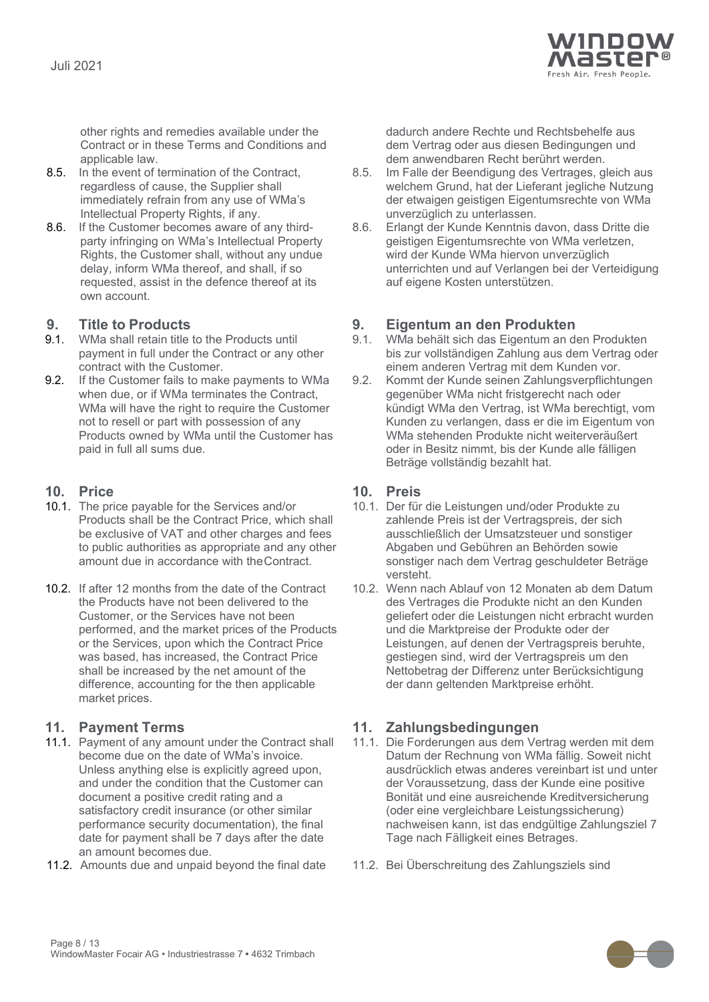

other rights and remedies available under the Contract or in these Terms and Conditions and applicable law.

- 8.5. In the event of termination of the Contract, regardless of cause, the Supplier shall immediately refrain from any use of WMa's Intellectual Property Rights, if any.
- 8.6. If the Customer becomes aware of any thirdparty infringing on WMa's Intellectual Property Rights, the Customer shall, without any undue delay, inform WMa thereof, and shall, if so requested, assist in the defence thereof at its own account.

- WMa shall retain title to the Products until payment in full under the Contract or any other contract with the Customer.
- 9.2. If the Customer fails to make payments to WMa when due, or if WMa terminates the Contract, WMa will have the right to require the Customer not to resell or part with possession of any Products owned by WMa until the Customer has paid in full all sums due.

- 10.1. The price payable for the Services and/or Products shall be the Contract Price, which shall be exclusive of VAT and other charges and fees to public authorities as appropriate and any other amount due in accordance with theContract.
- 10.2. If after 12 months from the date of the Contract the Products have not been delivered to the Customer, or the Services have not been performed, and the market prices of the Products or the Services, upon which the Contract Price was based, has increased, the Contract Price shall be increased by the net amount of the difference, accounting for the then applicable market prices.

- 11.1. Payment of any amount under the Contract shall become due on the date of WMa's invoice. Unless anything else is explicitly agreed upon, and under the condition that the Customer can document a positive credit rating and a satisfactory credit insurance (or other similar performance security documentation), the final date for payment shall be 7 days after the date an amount becomes due.
- 11.2. Amounts due and unpaid beyond the final date 11.2. Bei Überschreitung des Zahlungsziels sind

dadurch andere Rechte und Rechtsbehelfe aus dem Vertrag oder aus diesen Bedingungen und dem anwendbaren Recht berührt werden.

- 8.5. Im Falle der Beendigung des Vertrages, gleich aus welchem Grund, hat der Lieferant jegliche Nutzung der etwaigen geistigen Eigentumsrechte von WMa unverzüglich zu unterlassen.
- 8.6. Erlangt der Kunde Kenntnis davon, dass Dritte die geistigen Eigentumsrechte von WMa verletzen, wird der Kunde WMa hiervon unverzüglich unterrichten und auf Verlangen bei der Verteidigung auf eigene Kosten unterstützen.

## **9. Title to Products 9. Eigentum an den Produkten**

- 9.1. WMa behält sich das Eigentum an den Produkten bis zur vollständigen Zahlung aus dem Vertrag oder einem anderen Vertrag mit dem Kunden vor.
- 9.2. Kommt der Kunde seinen Zahlungsverpflichtungen gegenüber WMa nicht fristgerecht nach oder kündigt WMa den Vertrag, ist WMa berechtigt, vom Kunden zu verlangen, dass er die im Eigentum von WMa stehenden Produkte nicht weiterveräußert oder in Besitz nimmt, bis der Kunde alle fälligen Beträge vollständig bezahlt hat.

### **10. Price 10. Preis**

- 10.1. Der für die Leistungen und/oder Produkte zu zahlende Preis ist der Vertragspreis, der sich ausschließlich der Umsatzsteuer und sonstiger Abgaben und Gebühren an Behörden sowie sonstiger nach dem Vertrag geschuldeter Beträge versteht.
- 10.2. Wenn nach Ablauf von 12 Monaten ab dem Datum des Vertrages die Produkte nicht an den Kunden geliefert oder die Leistungen nicht erbracht wurden und die Marktpreise der Produkte oder der Leistungen, auf denen der Vertragspreis beruhte, gestiegen sind, wird der Vertragspreis um den Nettobetrag der Differenz unter Berücksichtigung der dann geltenden Marktpreise erhöht.

### **11. Payment Terms 11. Zahlungsbedingungen**

- 11.1. Die Forderungen aus dem Vertrag werden mit dem Datum der Rechnung von WMa fällig. Soweit nicht ausdrücklich etwas anderes vereinbart ist und unter der Voraussetzung, dass der Kunde eine positive Bonität und eine ausreichende Kreditversicherung (oder eine vergleichbare Leistungssicherung) nachweisen kann, ist das endgültige Zahlungsziel 7 Tage nach Fälligkeit eines Betrages.
- 

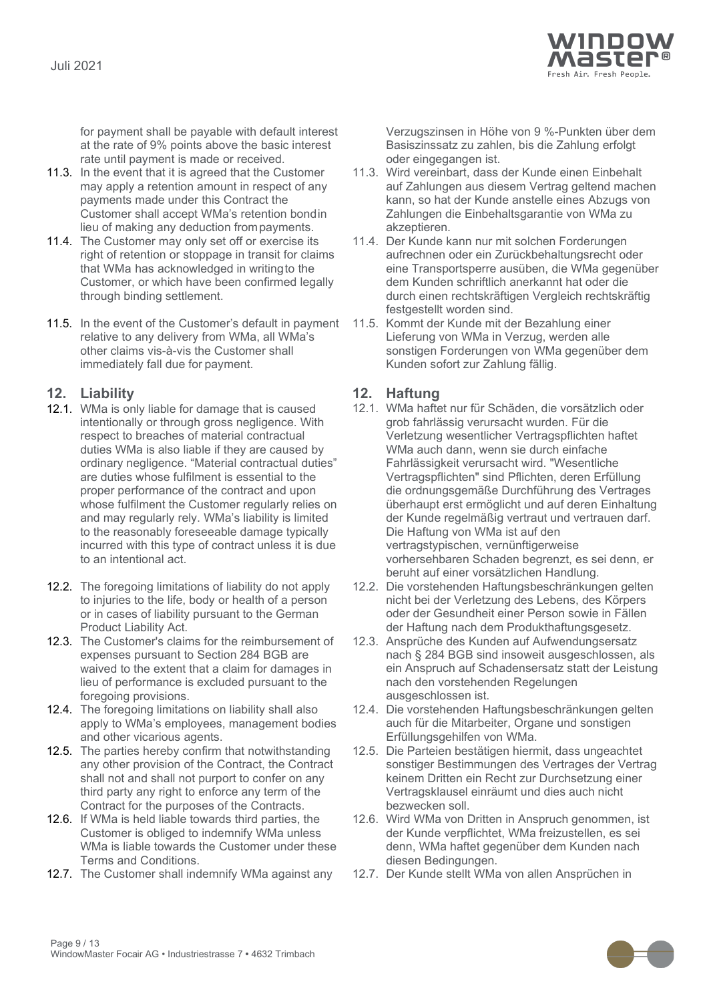

for payment shall be payable with default interest at the rate of 9% points above the basic interest rate until payment is made or received.

- 11.3. In the event that it is agreed that the Customer may apply a retention amount in respect of any payments made under this Contract the Customer shall accept WMa's retention bondin lieu of making any deduction frompayments.
- 11.4. The Customer may only set off or exercise its right of retention or stoppage in transit for claims that WMa has acknowledged in writingto the Customer, or which have been confirmed legally through binding settlement.
- 11.5. In the event of the Customer's default in payment relative to any delivery from WMa, all WMa's other claims vis-à-vis the Customer shall immediately fall due for payment.

### **12. Liability 12. Haftung**

- 12.1. WMa is only liable for damage that is caused intentionally or through gross negligence. With respect to breaches of material contractual duties WMa is also liable if they are caused by ordinary negligence. "Material contractual duties" are duties whose fulfilment is essential to the proper performance of the contract and upon whose fulfilment the Customer regularly relies on and may regularly rely. WMa's liability is limited to the reasonably foreseeable damage typically incurred with this type of contract unless it is due to an intentional act.
- 12.2. The foregoing limitations of liability do not apply to injuries to the life, body or health of a person or in cases of liability pursuant to the German Product Liability Act.
- 12.3. The Customer's claims for the reimbursement of expenses pursuant to Section 284 BGB are waived to the extent that a claim for damages in lieu of performance is excluded pursuant to the foregoing provisions.
- 12.4. The foregoing limitations on liability shall also apply to WMa's employees, management bodies and other vicarious agents.
- 12.5. The parties hereby confirm that notwithstanding any other provision of the Contract, the Contract shall not and shall not purport to confer on any third party any right to enforce any term of the Contract for the purposes of the Contracts.
- 12.6. If WMa is held liable towards third parties, the Customer is obliged to indemnify WMa unless WMa is liable towards the Customer under these Terms and Conditions.
- 12.7. The Customer shall indemnify WMa against any 12.7. Der Kunde stellt WMa von allen Ansprüchen in

Verzugszinsen in Höhe von 9 %-Punkten über dem Basiszinssatz zu zahlen, bis die Zahlung erfolgt oder eingegangen ist.

- 11.3. Wird vereinbart, dass der Kunde einen Einbehalt auf Zahlungen aus diesem Vertrag geltend machen kann, so hat der Kunde anstelle eines Abzugs von Zahlungen die Einbehaltsgarantie von WMa zu akzeptieren.
- 11.4. Der Kunde kann nur mit solchen Forderungen aufrechnen oder ein Zurückbehaltungsrecht oder eine Transportsperre ausüben, die WMa gegenüber dem Kunden schriftlich anerkannt hat oder die durch einen rechtskräftigen Vergleich rechtskräftig festgestellt worden sind.
- 11.5. Kommt der Kunde mit der Bezahlung einer Lieferung von WMa in Verzug, werden alle sonstigen Forderungen von WMa gegenüber dem Kunden sofort zur Zahlung fällig.

- 12.1. WMa haftet nur für Schäden, die vorsätzlich oder grob fahrlässig verursacht wurden. Für die Verletzung wesentlicher Vertragspflichten haftet WMa auch dann, wenn sie durch einfache Fahrlässigkeit verursacht wird. "Wesentliche Vertragspflichten" sind Pflichten, deren Erfüllung die ordnungsgemäße Durchführung des Vertrages überhaupt erst ermöglicht und auf deren Einhaltung der Kunde regelmäßig vertraut und vertrauen darf. Die Haftung von WMa ist auf den vertragstypischen, vernünftigerweise vorhersehbaren Schaden begrenzt, es sei denn, er beruht auf einer vorsätzlichen Handlung.
- 12.2. Die vorstehenden Haftungsbeschränkungen gelten nicht bei der Verletzung des Lebens, des Körpers oder der Gesundheit einer Person sowie in Fällen der Haftung nach dem Produkthaftungsgesetz.
- 12.3. Ansprüche des Kunden auf Aufwendungsersatz nach § 284 BGB sind insoweit ausgeschlossen, als ein Anspruch auf Schadensersatz statt der Leistung nach den vorstehenden Regelungen ausgeschlossen ist.
- 12.4. Die vorstehenden Haftungsbeschränkungen gelten auch für die Mitarbeiter, Organe und sonstigen Erfüllungsgehilfen von WMa.
- 12.5. Die Parteien bestätigen hiermit, dass ungeachtet sonstiger Bestimmungen des Vertrages der Vertrag keinem Dritten ein Recht zur Durchsetzung einer Vertragsklausel einräumt und dies auch nicht bezwecken soll.
- 12.6. Wird WMa von Dritten in Anspruch genommen, ist der Kunde verpflichtet, WMa freizustellen, es sei denn, WMa haftet gegenüber dem Kunden nach diesen Bedingungen.
- 

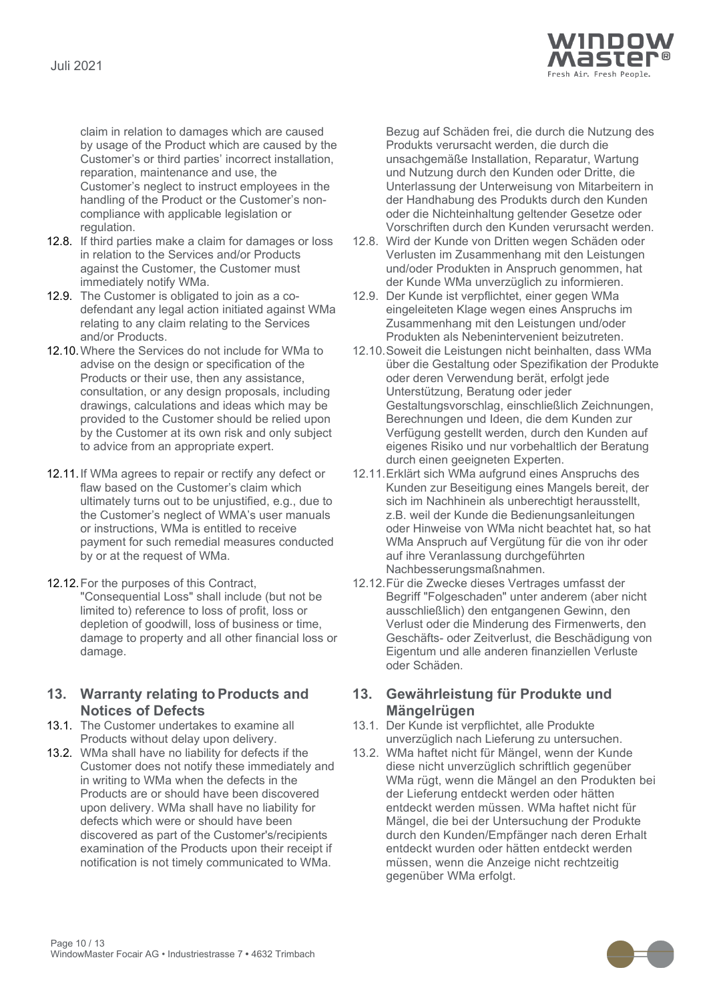

claim in relation to damages which are caused by usage of the Product which are caused by the Customer's or third parties' incorrect installation, reparation, maintenance and use, the Customer's neglect to instruct employees in the handling of the Product or the Customer's noncompliance with applicable legislation or regulation.

- 12.8. If third parties make a claim for damages or loss in relation to the Services and/or Products against the Customer, the Customer must immediately notify WMa.
- 12.9. The Customer is obligated to join as a codefendant any legal action initiated against WMa relating to any claim relating to the Services and/or Products.
- 12.10.Where the Services do not include for WMa to advise on the design or specification of the Products or their use, then any assistance, consultation, or any design proposals, including drawings, calculations and ideas which may be provided to the Customer should be relied upon by the Customer at its own risk and only subject to advice from an appropriate expert.
- 12.11.If WMa agrees to repair or rectify any defect or flaw based on the Customer's claim which ultimately turns out to be unjustified, e.g., due to the Customer's neglect of WMA's user manuals or instructions, WMa is entitled to receive payment for such remedial measures conducted by or at the request of WMa.
- 12.12.For the purposes of this Contract, "Consequential Loss" shall include (but not be limited to) reference to loss of profit, loss or depletion of goodwill, loss of business or time, damage to property and all other financial loss or damage.

### **13. Warranty relating to Products and Notices of Defects**

- <span id="page-9-0"></span>13.1. The Customer undertakes to examine all Products without delay upon delivery.
- <span id="page-9-1"></span>13.2. WMa shall have no liability for defects if the Customer does not notify these immediately and in writing to WMa when the defects in the Products are or should have been discovered upon delivery. WMa shall have no liability for defects which were or should have been discovered as part of the Customer's/recipients examination of the Products upon their receipt if notification is not timely communicated to WMa.

Bezug auf Schäden frei, die durch die Nutzung des Produkts verursacht werden, die durch die unsachgemäße Installation, Reparatur, Wartung und Nutzung durch den Kunden oder Dritte, die Unterlassung der Unterweisung von Mitarbeitern in der Handhabung des Produkts durch den Kunden oder die Nichteinhaltung geltender Gesetze oder Vorschriften durch den Kunden verursacht werden.

- 12.8. Wird der Kunde von Dritten wegen Schäden oder Verlusten im Zusammenhang mit den Leistungen und/oder Produkten in Anspruch genommen, hat der Kunde WMa unverzüglich zu informieren.
- 12.9. Der Kunde ist verpflichtet, einer gegen WMa eingeleiteten Klage wegen eines Anspruchs im Zusammenhang mit den Leistungen und/oder Produkten als Nebenintervenient beizutreten.
- 12.10.Soweit die Leistungen nicht beinhalten, dass WMa über die Gestaltung oder Spezifikation der Produkte oder deren Verwendung berät, erfolgt jede Unterstützung, Beratung oder jeder Gestaltungsvorschlag, einschließlich Zeichnungen, Berechnungen und Ideen, die dem Kunden zur Verfügung gestellt werden, durch den Kunden auf eigenes Risiko und nur vorbehaltlich der Beratung durch einen geeigneten Experten.
- 12.11.Erklärt sich WMa aufgrund eines Anspruchs des Kunden zur Beseitigung eines Mangels bereit, der sich im Nachhinein als unberechtigt herausstellt, z.B. weil der Kunde die Bedienungsanleitungen oder Hinweise von WMa nicht beachtet hat, so hat WMa Anspruch auf Vergütung für die von ihr oder auf ihre Veranlassung durchgeführten Nachbesserungsmaßnahmen.
- 12.12.Für die Zwecke dieses Vertrages umfasst der Begriff "Folgeschaden" unter anderem (aber nicht ausschließlich) den entgangenen Gewinn, den Verlust oder die Minderung des Firmenwerts, den Geschäfts- oder Zeitverlust, die Beschädigung von Eigentum und alle anderen finanziellen Verluste oder Schäden.

### **13. Gewährleistung für Produkte und Mängelrügen**

- 13.1. Der Kunde ist verpflichtet, alle Produkte unverzüglich nach Lieferung zu untersuchen.
- 13.2. WMa haftet nicht für Mängel, wenn der Kunde diese nicht unverzüglich schriftlich gegenüber WMa rügt, wenn die Mängel an den Produkten bei der Lieferung entdeckt werden oder hätten entdeckt werden müssen. WMa haftet nicht für Mängel, die bei der Untersuchung der Produkte durch den Kunden/Empfänger nach deren Erhalt entdeckt wurden oder hätten entdeckt werden müssen, wenn die Anzeige nicht rechtzeitig gegenüber WMa erfolgt.

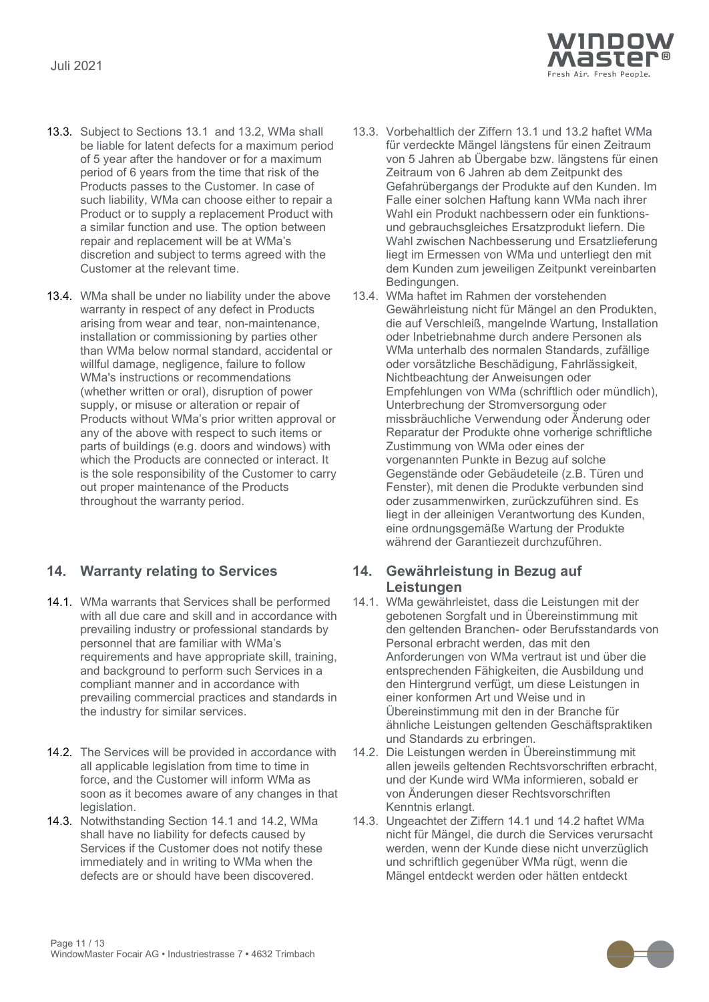

- 13.3. Subject to Sections [13.1](#page-9-0) and [13.2,](#page-9-1) WMa shall be liable for latent defects for a maximum period of 5 year after the handover or for a maximum period of 6 years from the time that risk of the Products passes to the Customer. In case of such liability, WMa can choose either to repair a Product or to supply a replacement Product with a similar function and use. The option between repair and replacement will be at WMa's discretion and subject to terms agreed with the Customer at the relevant time.
- 13.4. WMa shall be under no liability under the above warranty in respect of any defect in Products arising from wear and tear, non-maintenance, installation or commissioning by parties other than WMa below normal standard, accidental or willful damage, negligence, failure to follow WMa's instructions or recommendations (whether written or oral), disruption of power supply, or misuse or alteration or repair of Products without WMa's prior written approval or any of the above with respect to such items or parts of buildings (e.g. doors and windows) with which the Products are connected or interact. It is the sole responsibility of the Customer to carry out proper maintenance of the Products throughout the warranty period.

### **14. Warranty relating to Services 14. Gewährleistung in Bezug auf**

- <span id="page-10-0"></span>14.1. WMa warrants that Services shall be performed with all due care and skill and in accordance with prevailing industry or professional standards by personnel that are familiar with WMa's requirements and have appropriate skill, training, and background to perform such Services in a compliant manner and in accordance with prevailing commercial practices and standards in the industry for similar services.
- <span id="page-10-1"></span>14.2. The Services will be provided in accordance with all applicable legislation from time to time in force, and the Customer will inform WMa as soon as it becomes aware of any changes in that legislation.
- 14.3. Notwithstanding Section [14.1](#page-10-0) and [14.2,](#page-10-1) WMa shall have no liability for defects caused by Services if the Customer does not notify these immediately and in writing to WMa when the defects are or should have been discovered.
- 13.3. Vorbehaltlich der Ziffern 13.1 und 13.2 haftet WMa für verdeckte Mängel längstens für einen Zeitraum von 5 Jahren ab Übergabe bzw. längstens für einen Zeitraum von 6 Jahren ab dem Zeitpunkt des Gefahrübergangs der Produkte auf den Kunden. Im Falle einer solchen Haftung kann WMa nach ihrer Wahl ein Produkt nachbessern oder ein funktionsund gebrauchsgleiches Ersatzprodukt liefern. Die Wahl zwischen Nachbesserung und Ersatzlieferung liegt im Ermessen von WMa und unterliegt den mit dem Kunden zum jeweiligen Zeitpunkt vereinbarten Bedingungen.
- 13.4. WMa haftet im Rahmen der vorstehenden Gewährleistung nicht für Mängel an den Produkten, die auf Verschleiß, mangelnde Wartung, Installation oder Inbetriebnahme durch andere Personen als WMa unterhalb des normalen Standards, zufällige oder vorsätzliche Beschädigung, Fahrlässigkeit, Nichtbeachtung der Anweisungen oder Empfehlungen von WMa (schriftlich oder mündlich), Unterbrechung der Stromversorgung oder missbräuchliche Verwendung oder Änderung oder Reparatur der Produkte ohne vorherige schriftliche Zustimmung von WMa oder eines der vorgenannten Punkte in Bezug auf solche Gegenstände oder Gebäudeteile (z.B. Türen und Fenster), mit denen die Produkte verbunden sind oder zusammenwirken, zurückzuführen sind. Es liegt in der alleinigen Verantwortung des Kunden, eine ordnungsgemäße Wartung der Produkte während der Garantiezeit durchzuführen.

# **Leistungen**

- 14.1. WMa gewährleistet, dass die Leistungen mit der gebotenen Sorgfalt und in Übereinstimmung mit den geltenden Branchen- oder Berufsstandards von Personal erbracht werden, das mit den Anforderungen von WMa vertraut ist und über die entsprechenden Fähigkeiten, die Ausbildung und den Hintergrund verfügt, um diese Leistungen in einer konformen Art und Weise und in Übereinstimmung mit den in der Branche für ähnliche Leistungen geltenden Geschäftspraktiken und Standards zu erbringen.
- 14.2. Die Leistungen werden in Übereinstimmung mit allen jeweils geltenden Rechtsvorschriften erbracht, und der Kunde wird WMa informieren, sobald er von Änderungen dieser Rechtsvorschriften Kenntnis erlangt.
- 14.3. Ungeachtet der Ziffern 14.1 und 14.2 haftet WMa nicht für Mängel, die durch die Services verursacht werden, wenn der Kunde diese nicht unverzüglich und schriftlich gegenüber WMa rügt, wenn die Mängel entdeckt werden oder hätten entdeckt

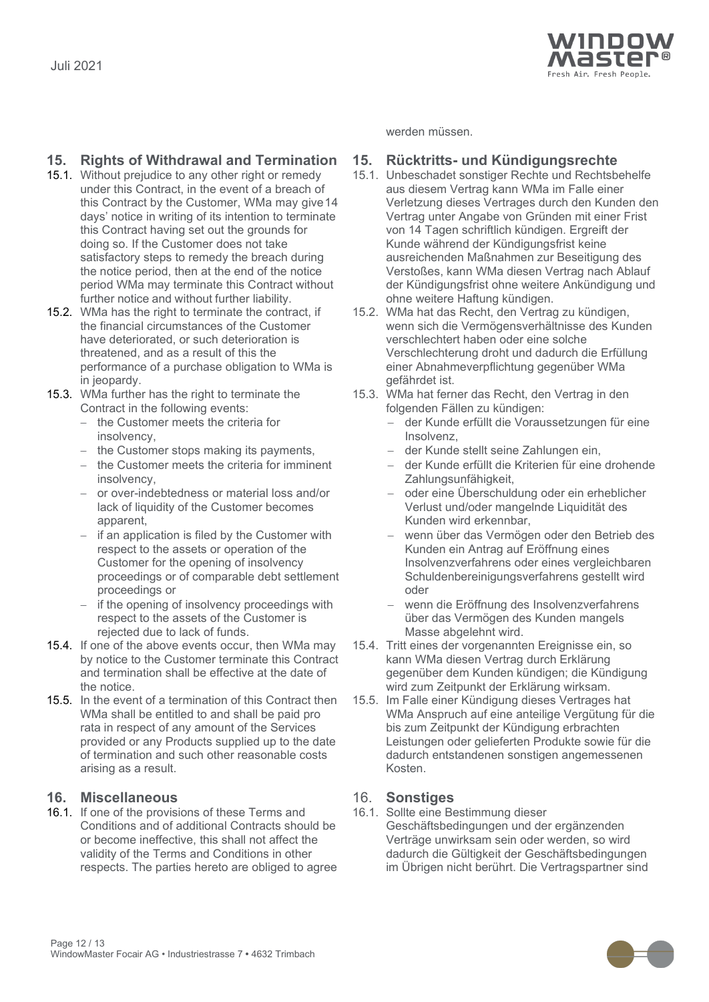

### **15. Rights of Withdrawal and Termination 15. Rücktritts- und Kündigungsrechte**

- 15.1. Without prejudice to any other right or remedy under this Contract, in the event of a breach of this Contract by the Customer, WMa may give14 days' notice in writing of its intention to terminate this Contract having set out the grounds for doing so. If the Customer does not take satisfactory steps to remedy the breach during the notice period, then at the end of the notice period WMa may terminate this Contract without further notice and without further liability.
- 15.2. WMa has the right to terminate the contract, if the financial circumstances of the Customer have deteriorated, or such deterioration is threatened, and as a result of this the performance of a purchase obligation to WMa is in jeopardy.
- 15.3. WMa further has the right to terminate the Contract in the following events:
	- − the Customer meets the criteria for insolvency,
	- − the Customer stops making its payments,  $-$  der Kunde stellt seine Zahlungen ein,
	- the Customer meets the criteria for imminent insolvency,
	- − or over-indebtedness or material loss and/or lack of liquidity of the Customer becomes apparent,
	- − if an application is filed by the Customer with respect to the assets or operation of the Customer for the opening of insolvency proceedings or of comparable debt settlement proceedings or
	- if the opening of insolvency proceedings with respect to the assets of the Customer is rejected due to lack of funds.
- 15.4. If one of the above events occur, then WMa may by notice to the Customer terminate this Contract and termination shall be effective at the date of the notice.
- 15.5. In the event of a termination of this Contract then WMa shall be entitled to and shall be paid pro rata in respect of any amount of the Services provided or any Products supplied up to the date of termination and such other reasonable costs arising as a result.

### **16. Miscellaneous** 16. **Sonstiges**

16.1. If one of the provisions of these Terms and Conditions and of additional Contracts should be or become ineffective, this shall not affect the validity of the Terms and Conditions in other respects. The parties hereto are obliged to agree werden müssen.

- 15.1. Unbeschadet sonstiger Rechte und Rechtsbehelfe aus diesem Vertrag kann WMa im Falle einer Verletzung dieses Vertrages durch den Kunden den Vertrag unter Angabe von Gründen mit einer Frist von 14 Tagen schriftlich kündigen. Ergreift der Kunde während der Kündigungsfrist keine ausreichenden Maßnahmen zur Beseitigung des Verstoßes, kann WMa diesen Vertrag nach Ablauf der Kündigungsfrist ohne weitere Ankündigung und ohne weitere Haftung kündigen.
- 15.2. WMa hat das Recht, den Vertrag zu kündigen, wenn sich die Vermögensverhältnisse des Kunden verschlechtert haben oder eine solche Verschlechterung droht und dadurch die Erfüllung einer Abnahmeverpflichtung gegenüber WMa gefährdet ist.
- 15.3. WMa hat ferner das Recht, den Vertrag in den folgenden Fällen zu kündigen:
	- − der Kunde erfüllt die Voraussetzungen für eine Insolvenz,
	-
	- − der Kunde erfüllt die Kriterien für eine drohende Zahlungsunfähigkeit,
	- − oder eine Überschuldung oder ein erheblicher Verlust und/oder mangelnde Liquidität des Kunden wird erkennbar,
	- − wenn über das Vermögen oder den Betrieb des Kunden ein Antrag auf Eröffnung eines Insolvenzverfahrens oder eines vergleichbaren Schuldenbereinigungsverfahrens gestellt wird oder
	- wenn die Eröffnung des Insolvenzverfahrens über das Vermögen des Kunden mangels Masse abgelehnt wird.
- 15.4. Tritt eines der vorgenannten Ereignisse ein, so kann WMa diesen Vertrag durch Erklärung gegenüber dem Kunden kündigen; die Kündigung wird zum Zeitpunkt der Erklärung wirksam.
- 15.5. Im Falle einer Kündigung dieses Vertrages hat WMa Anspruch auf eine anteilige Vergütung für die bis zum Zeitpunkt der Kündigung erbrachten Leistungen oder gelieferten Produkte sowie für die dadurch entstandenen sonstigen angemessenen Kosten.

16.1. Sollte eine Bestimmung dieser Geschäftsbedingungen und der ergänzenden Verträge unwirksam sein oder werden, so wird dadurch die Gültigkeit der Geschäftsbedingungen im Übrigen nicht berührt. Die Vertragspartner sind